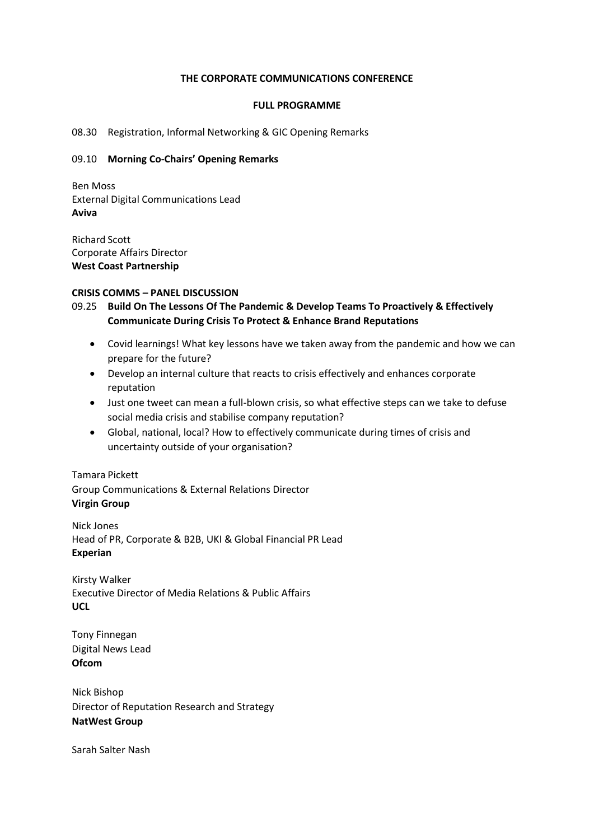#### **THE CORPORATE COMMUNICATIONS CONFERENCE**

#### **FULL PROGRAMME**

#### 08.30 Registration, Informal Networking & GIC Opening Remarks

#### 09.10 **Morning Co-Chairs' Opening Remarks**

Ben Moss External Digital Communications Lead **Aviva**

Richard Scott Corporate Affairs Director **West Coast Partnership**

#### **CRISIS COMMS – PANEL DISCUSSION**

- 09.25 **Build On The Lessons Of The Pandemic & Develop Teams To Proactively & Effectively Communicate During Crisis To Protect & Enhance Brand Reputations**
	- Covid learnings! What key lessons have we taken away from the pandemic and how we can prepare for the future?
	- Develop an internal culture that reacts to crisis effectively and enhances corporate reputation
	- Just one tweet can mean a full-blown crisis, so what effective steps can we take to defuse social media crisis and stabilise company reputation?
	- Global, national, local? How to effectively communicate during times of crisis and uncertainty outside of your organisation?

### Tamara Pickett

Group Communications & External Relations Director **Virgin Group**

Nick Jones Head of PR, Corporate & B2B, UKI & Global Financial PR Lead **Experian**

Kirsty Walker Executive Director of Media Relations & Public Affairs **UCL**

Tony Finnegan Digital News Lead **Ofcom**

Nick Bishop Director of Reputation Research and Strategy **NatWest Group**

Sarah Salter Nash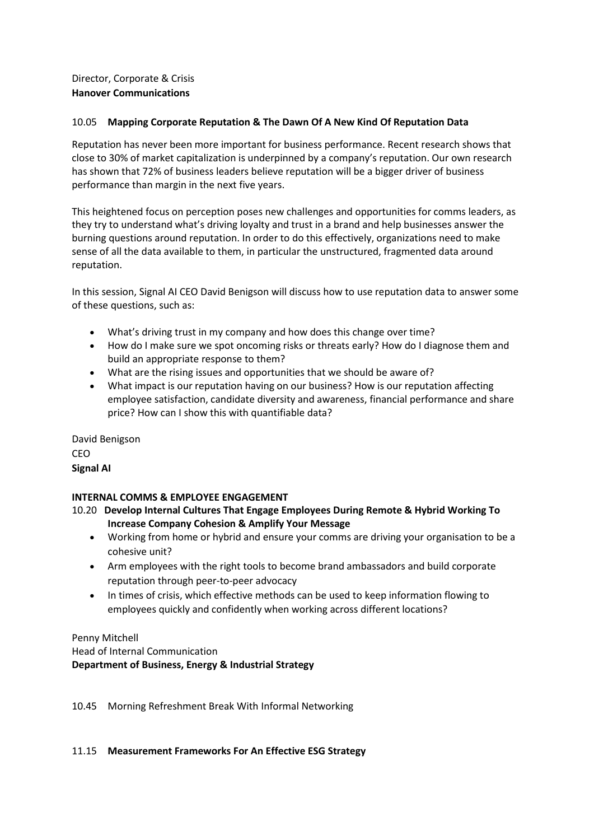# Director, Corporate & Crisis **Hanover Communications**

# 10.05 **Mapping Corporate Reputation & The Dawn Of A New Kind Of Reputation Data**

Reputation has never been more important for business performance. Recent research shows that close to 30% of market capitalization is underpinned by a company's reputation. Our own research has shown that 72% of business leaders believe reputation will be a bigger driver of business performance than margin in the next five years.

This heightened focus on perception poses new challenges and opportunities for comms leaders, as they try to understand what's driving loyalty and trust in a brand and help businesses answer the burning questions around reputation. In order to do this effectively, organizations need to make sense of all the data available to them, in particular the unstructured, fragmented data around reputation.

In this session, Signal AI CEO David Benigson will discuss how to use reputation data to answer some of these questions, such as:

- What's driving trust in my company and how does this change over time?
- How do I make sure we spot oncoming risks or threats early? How do I diagnose them and build an appropriate response to them?
- What are the rising issues and opportunities that we should be aware of?
- What impact is our reputation having on our business? How is our reputation affecting employee satisfaction, candidate diversity and awareness, financial performance and share price? How can I show this with quantifiable data?

David Benigson CEO **Signal AI**

# **INTERNAL COMMS & EMPLOYEE ENGAGEMENT**

10.20 **Develop Internal Cultures That Engage Employees During Remote & Hybrid Working To Increase Company Cohesion & Amplify Your Message**

- Working from home or hybrid and ensure your comms are driving your organisation to be a cohesive unit?
- Arm employees with the right tools to become brand ambassadors and build corporate reputation through peer-to-peer advocacy
- In times of crisis, which effective methods can be used to keep information flowing to employees quickly and confidently when working across different locations?

Penny Mitchell

Head of Internal Communication **Department of Business, Energy & Industrial Strategy**

10.45 Morning Refreshment Break With Informal Networking

### 11.15 **Measurement Frameworks For An Effective ESG Strategy**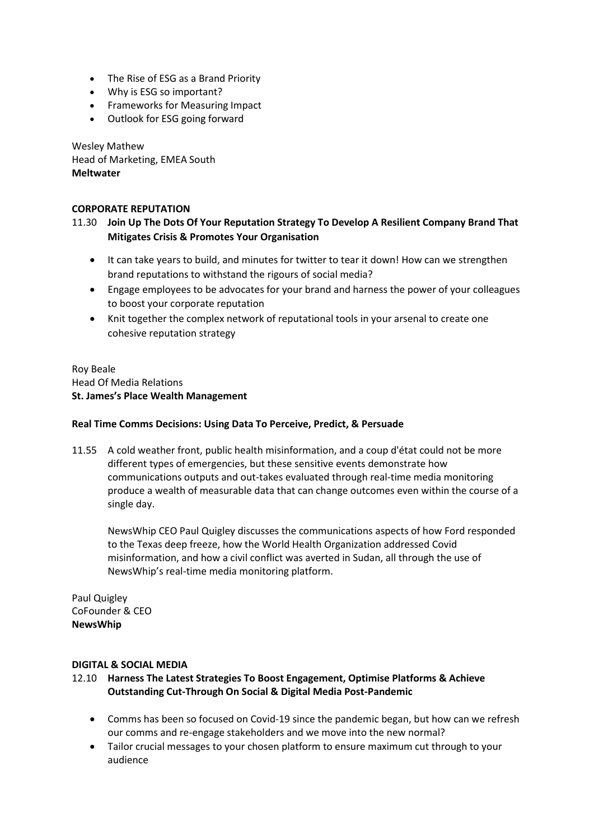- The Rise of ESG as a Brand Priority
- Why is ESG so important?
- Frameworks for Measuring Impact
- Outlook for ESG going forward

Wesley Mathew Head of Marketing, EMEA South **Meltwater**

### **CORPORATE REPUTATION**

# 11.30 **Join Up The Dots Of Your Reputation Strategy To Develop A Resilient Company Brand That Mitigates Crisis & Promotes Your Organisation**

- It can take years to build, and minutes for twitter to tear it down! How can we strengthen brand reputations to withstand the rigours of social media?
- Engage employees to be advocates for your brand and harness the power of your colleagues to boost your corporate reputation
- Knit together the complex network of reputational tools in your arsenal to create one cohesive reputation strategy

Roy Beale Head Of Media Relations **St. James's Place Wealth Management**

### **Real Time Comms Decisions: Using Data To Perceive, Predict, & Persuade**

11.55 A cold weather front, public health misinformation, and a coup d'état could not be more different types of emergencies, but these sensitive events demonstrate how communications outputs and out-takes evaluated through real-time media monitoring produce a wealth of measurable data that can change outcomes even within the course of a single day.

NewsWhip CEO Paul Quigley discusses the communications aspects of how Ford responded to the Texas deep freeze, how the World Health Organization addressed Covid misinformation, and how a civil conflict was averted in Sudan, all through the use of NewsWhip's real-time media monitoring platform.

Paul Quigley CoFounder & CEO **NewsWhip**

### **DIGITAL & SOCIAL MEDIA**

### 12.10 **Harness The Latest Strategies To Boost Engagement, Optimise Platforms & Achieve Outstanding Cut-Through On Social & Digital Media Post-Pandemic**

- Comms has been so focused on Covid-19 since the pandemic began, but how can we refresh our comms and re-engage stakeholders and we move into the new normal?
- Tailor crucial messages to your chosen platform to ensure maximum cut through to your audience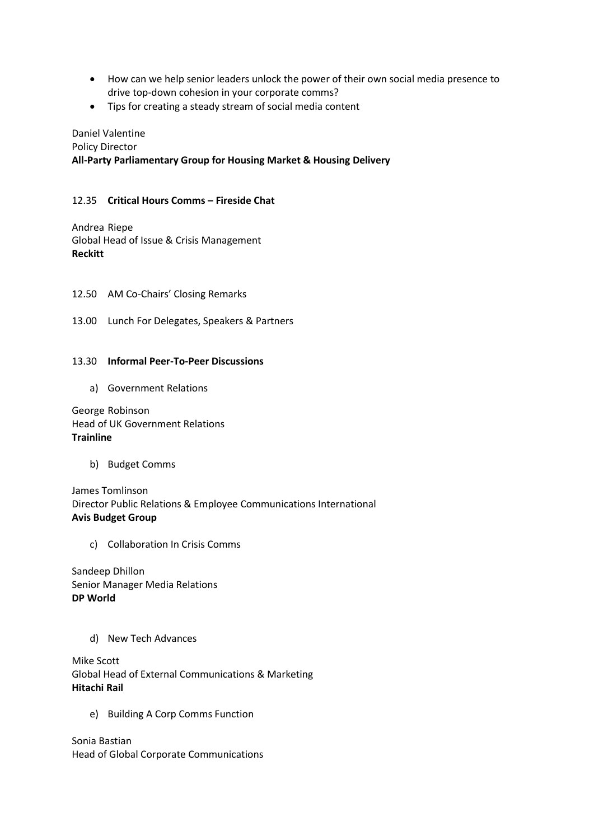- How can we help senior leaders unlock the power of their own social media presence to drive top-down cohesion in your corporate comms?
- Tips for creating a steady stream of social media content

Daniel Valentine Policy Director **All-Party Parliamentary Group for Housing Market & Housing Delivery**

# 12.35 **Critical Hours Comms – Fireside Chat**

Andrea Riepe Global Head of Issue & Crisis Management **Reckitt**

12.50 AM Co-Chairs' Closing Remarks

13.00 Lunch For Delegates, Speakers & Partners

### 13.30 **Informal Peer-To-Peer Discussions**

a) Government Relations

George Robinson Head of UK Government Relations **Trainline**

b) Budget Comms

James Tomlinson Director Public Relations & Employee Communications International **Avis Budget Group**

c) Collaboration In Crisis Comms

Sandeep Dhillon Senior Manager Media Relations **DP World**

d) New Tech Advances

Mike Scott Global Head of External Communications & Marketing **Hitachi Rail**

e) Building A Corp Comms Function

Sonia Bastian Head of Global Corporate Communications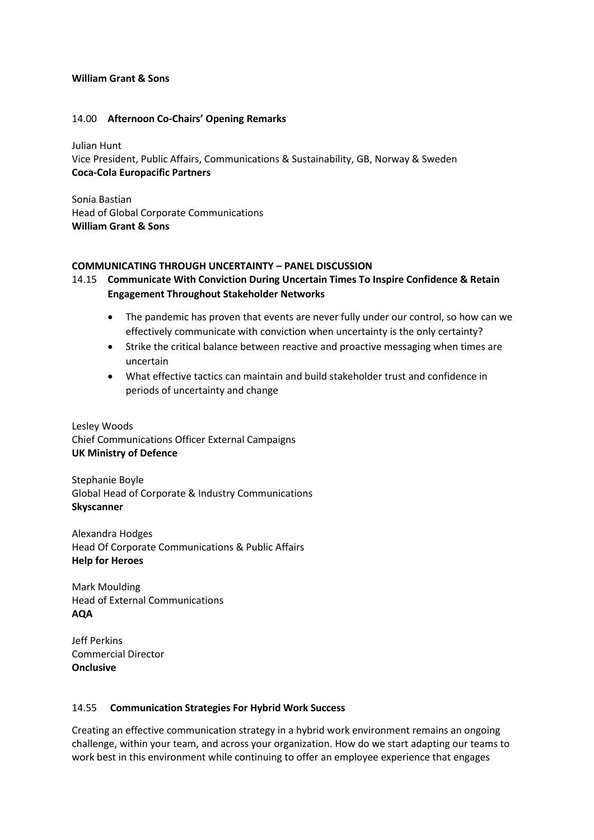### **William Grant & Sons**

#### 14.00 **Afternoon Co-Chairs' Opening Remarks**

Julian Hunt Vice President, Public Affairs, Communications & Sustainability, GB, Norway & Sweden **Coca-Cola Europacific Partners**

Sonia Bastian Head of Global Corporate Communications **William Grant & Sons**

#### **COMMUNICATING THROUGH UNCERTAINTY – PANEL DISCUSSION**

# 14.15 **Communicate With Conviction During Uncertain Times To Inspire Confidence & Retain Engagement Throughout Stakeholder Networks**

- The pandemic has proven that events are never fully under our control, so how can we effectively communicate with conviction when uncertainty is the only certainty?
- Strike the critical balance between reactive and proactive messaging when times are uncertain
- What effective tactics can maintain and build stakeholder trust and confidence in periods of uncertainty and change

Lesley Woods Chief Communications Officer External Campaigns **UK Ministry of Defence**

Stephanie Boyle Global Head of Corporate & Industry Communications **Skyscanner**

Alexandra Hodges Head Of Corporate Communications & Public Affairs **Help for Heroes**

Mark Moulding Head of External Communications **AQA**

Jeff Perkins Commercial Director **Onclusive**

### 14.55 **Communication Strategies For Hybrid Work Success**

Creating an effective communication strategy in a hybrid work environment remains an ongoing challenge, within your team, and across your organization. How do we start adapting our teams to work best in this environment while continuing to offer an employee experience that engages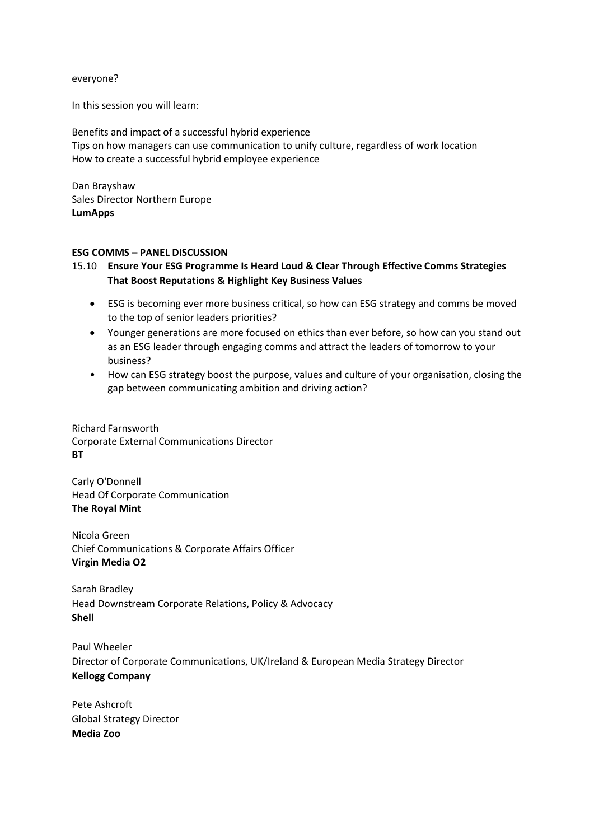everyone?

In this session you will learn:

Benefits and impact of a successful hybrid experience Tips on how managers can use communication to unify culture, regardless of work location How to create a successful hybrid employee experience

Dan Brayshaw Sales Director Northern Europe **LumApps**

#### **ESG COMMS – PANEL DISCUSSION**

# 15.10 **Ensure Your ESG Programme Is Heard Loud & Clear Through Effective Comms Strategies That Boost Reputations & Highlight Key Business Values**

- ESG is becoming ever more business critical, so how can ESG strategy and comms be moved to the top of senior leaders priorities?
- Younger generations are more focused on ethics than ever before, so how can you stand out as an ESG leader through engaging comms and attract the leaders of tomorrow to your business?
- How can ESG strategy boost the purpose, values and culture of your organisation, closing the gap between communicating ambition and driving action?

Richard Farnsworth Corporate External Communications Director **BT**

Carly O'Donnell Head Of Corporate Communication **The Royal Mint**

Nicola Green Chief Communications & Corporate Affairs Officer **Virgin Media O2**

Sarah Bradley Head Downstream Corporate Relations, Policy & Advocacy **Shell**

Paul Wheeler Director of Corporate Communications, UK/Ireland & European Media Strategy Director **Kellogg Company**

Pete Ashcroft Global Strategy Director **Media Zoo**